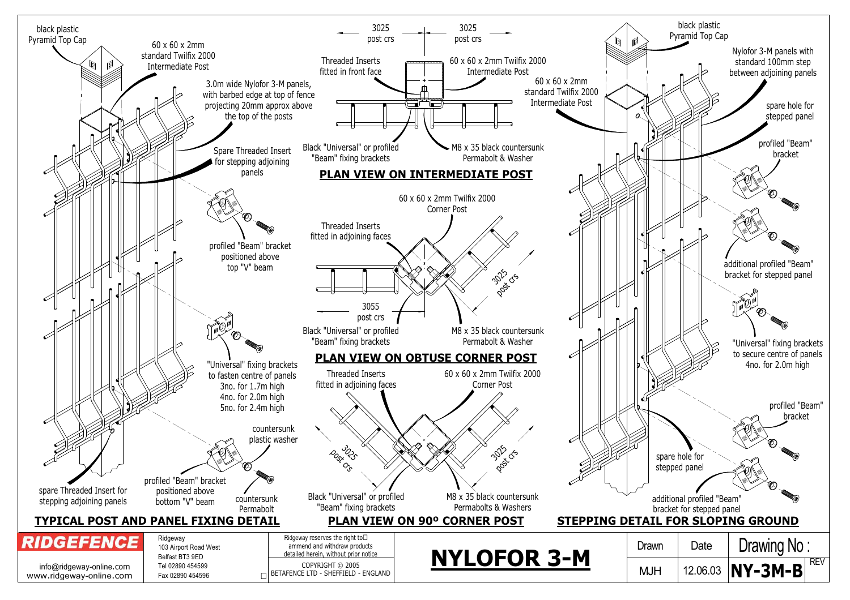